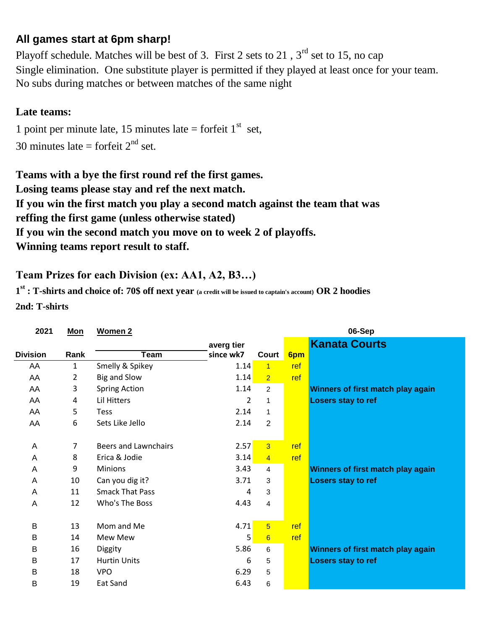## **All games start at 6pm sharp!**

No subs during matches or between matches of the same night Playoff schedule. Matches will be best of 3. First 2 sets to 21,  $3<sup>rd</sup>$  set to 15, no cap Single elimination. One substitute player is permitted if they played at least once for your team.

## **Late teams:**

30 minutes late = forfeit  $2<sup>nd</sup>$  set. 1 point per minute late, 15 minutes late = forfeit  $1<sup>st</sup>$  set,

**Winning teams report result to staff. Teams with a bye the first round ref the first games. Losing teams please stay and ref the next match. If you win the first match you play a second match against the team that was If you win the second match you move on to week 2 of playoffs. reffing the first game (unless otherwise stated)**

## **Team Prizes for each Division (ex: AA1, A2, B3…)**

**1 st : T-shirts and choice of: 70\$ off next year (a credit will be issued to captain's account) OR 2 hoodies 2nd: T-shirts**

| 2021            | <b>Mon</b> | <b>Women 2</b>              |            |                |     | 06-Sep                            |
|-----------------|------------|-----------------------------|------------|----------------|-----|-----------------------------------|
|                 |            |                             | averg tier |                |     | <b>Kanata Courts</b>              |
| <b>Division</b> | Rank       | <b>Team</b>                 | since wk7  | Court          | 6pm |                                   |
| AA              | 1          | Smelly & Spikey             | 1.14       | $\overline{1}$ | ref |                                   |
| AA              | 2          | Big and Slow                | 1.14       | $\overline{2}$ | ref |                                   |
| AA              | 3          | <b>Spring Action</b>        | 1.14       | $\overline{2}$ |     | Winners of first match play again |
| AA              | 4          | Lil Hitters                 | 2          | 1              |     | Losers stay to ref                |
| AA              | 5          | <b>Tess</b>                 | 2.14       | 1              |     |                                   |
| AA              | 6          | Sets Like Jello             | 2.14       | $\overline{2}$ |     |                                   |
|                 |            |                             |            |                |     |                                   |
| A               | 7          | <b>Beers and Lawnchairs</b> | 2.57       | $\overline{3}$ | ref |                                   |
| A               | 8          | Erica & Jodie               | 3.14       | $\overline{4}$ | ref |                                   |
| A               | 9          | <b>Minions</b>              | 3.43       | 4              |     | Winners of first match play again |
| A               | 10         | Can you dig it?             | 3.71       | 3              |     | Losers stay to ref                |
| A               | 11         | <b>Smack That Pass</b>      | 4          | 3              |     |                                   |
| A               | 12         | Who's The Boss              | 4.43       | $\overline{4}$ |     |                                   |
|                 |            |                             |            |                |     |                                   |
| B               | 13         | Mom and Me                  | 4.71       | $\overline{5}$ | ref |                                   |
| B               | 14         | Mew Mew                     | 5          | $6\phantom{1}$ | ref |                                   |
| Β               | 16         | Diggity                     | 5.86       | 6              |     | Winners of first match play again |
| B               | 17         | <b>Hurtin Units</b>         | 6          | 5              |     | <b>Losers stay to ref</b>         |
| Β               | 18         | <b>VPO</b>                  | 6.29       | 5              |     |                                   |
| Β               | 19         | Eat Sand                    | 6.43       | 6              |     |                                   |
|                 |            |                             |            |                |     |                                   |